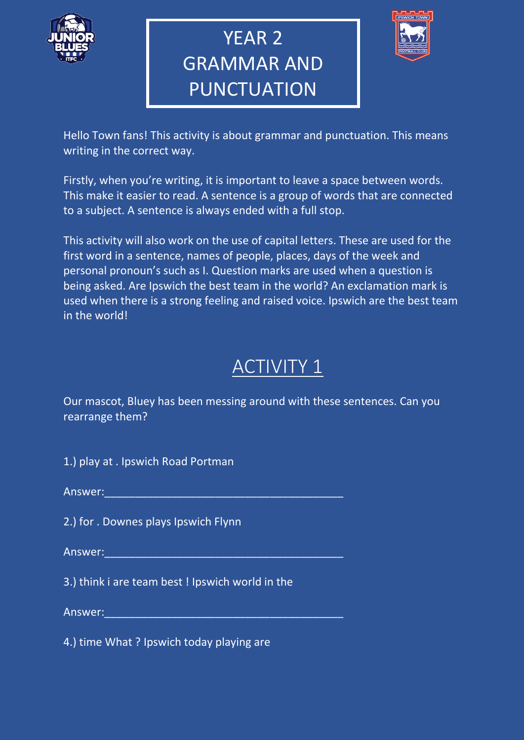

# YEAR 2 GRAMMAR AND PUNCTUATION



Hello Town fans! This activity is about grammar and punctuation. This means writing in the correct way.

Firstly, when you're writing, it is important to leave a space between words. This make it easier to read. A sentence is a group of words that are connected to a subject. A sentence is always ended with a full stop.

This activity will also work on the use of capital letters. These are used for the first word in a sentence, names of people, places, days of the week and personal pronoun's such as I. Question marks are used when a question is being asked. Are Ipswich the best team in the world? An exclamation mark is used when there is a strong feeling and raised voice. Ipswich are the best team in the world!

## ACTIVITY 1

Our mascot, Bluey has been messing around with these sentences. Can you rearrange them?

1.) play at . Ipswich Road Portman

Answer:\_\_\_\_\_\_\_\_\_\_\_\_\_\_\_\_\_\_\_\_\_\_\_\_\_\_\_\_\_\_\_\_\_\_\_\_\_\_\_

2.) for . Downes plays Ipswich Flynn

Answer:

3.) think i are team best ! Ipswich world in the

Answer:

4.) time What ? Ipswich today playing are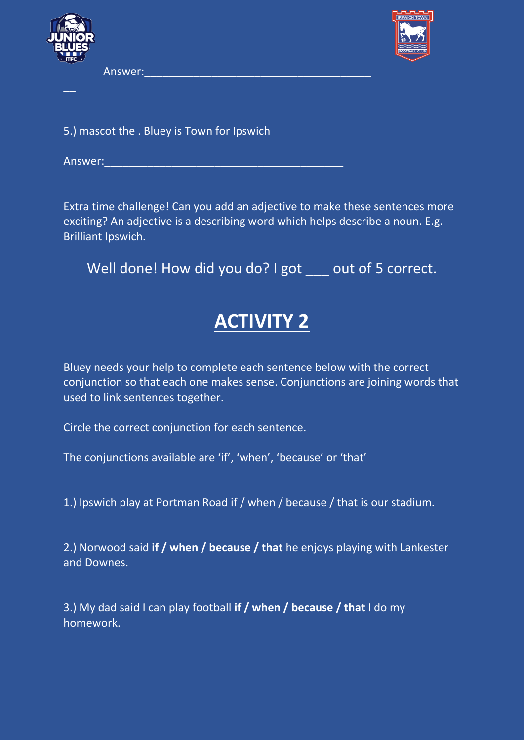

 $\overline{\phantom{a}}$ 

Answer:



5.) mascot the . Bluey is Town for Ipswich

Answer:

Extra time challenge! Can you add an adjective to make these sentences more exciting? An adjective is a describing word which helps describe a noun. E.g. Brilliant Ipswich.

Well done! How did you do? I got out of 5 correct.

### **ACTIVITY 2**

Bluey needs your help to complete each sentence below with the correct conjunction so that each one makes sense. Conjunctions are joining words that used to link sentences together.

Circle the correct conjunction for each sentence.

The conjunctions available are 'if', 'when', 'because' or 'that'

1.) Ipswich play at Portman Road if / when / because / that is our stadium.

2.) Norwood said **if / when / because / that** he enjoys playing with Lankester and Downes.

3.) My dad said I can play football **if / when / because / that** I do my homework.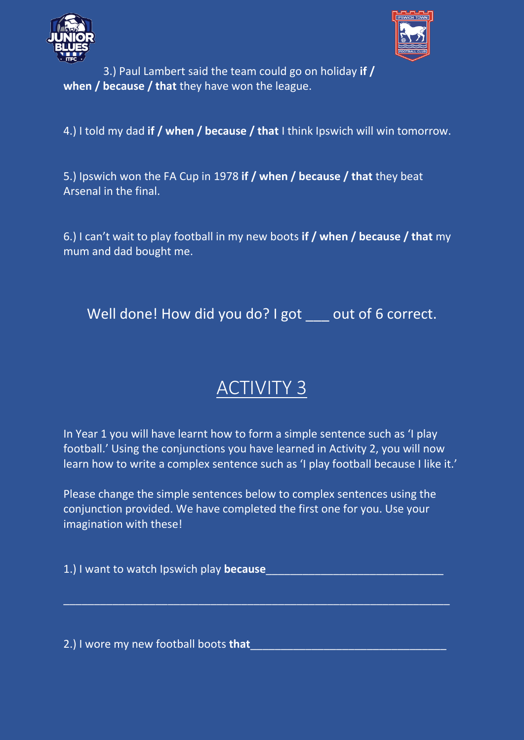



3.) Paul Lambert said the team could go on holiday **if / when / because / that** they have won the league.

4.) I told my dad **if / when / because / that** I think Ipswich will win tomorrow.

5.) Ipswich won the FA Cup in 1978 **if / when / because / that** they beat Arsenal in the final.

6.) I can't wait to play football in my new boots **if / when / because / that** my mum and dad bought me.

Well done! How did you do? I got out of 6 correct.

## ACTIVITY 3

In Year 1 you will have learnt how to form a simple sentence such as 'I play football.' Using the conjunctions you have learned in Activity 2, you will now learn how to write a complex sentence such as 'I play football because I like it.'

Please change the simple sentences below to complex sentences using the conjunction provided. We have completed the first one for you. Use your imagination with these!

 $\_$  , and the set of the set of the set of the set of the set of the set of the set of the set of the set of the set of the set of the set of the set of the set of the set of the set of the set of the set of the set of th

1.) I want to watch Ipswich play **because**\_\_\_\_\_\_\_\_\_\_\_\_\_\_\_\_\_\_\_\_\_\_\_\_\_\_\_\_\_

2.) I wore my new football boots **that**\_\_\_\_\_\_\_\_\_\_\_\_\_\_\_\_\_\_\_\_\_\_\_\_\_\_\_\_\_\_\_\_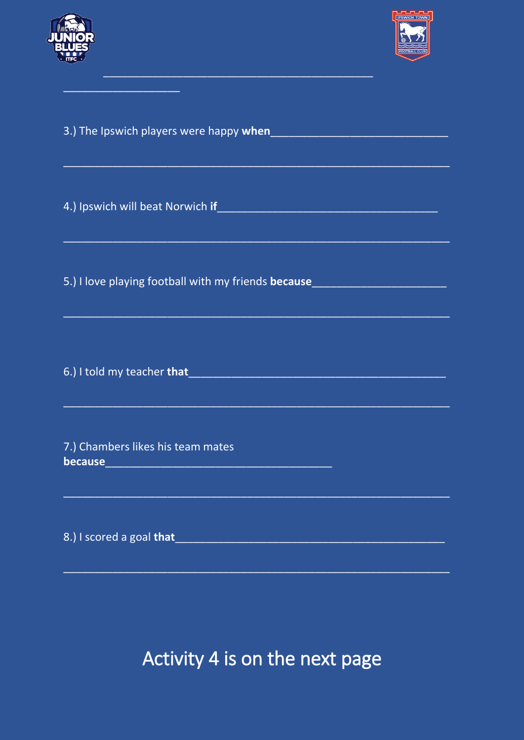



| 4.) Ipswich will beat Norwich if Allen and The Communication of the Communication                                  |
|--------------------------------------------------------------------------------------------------------------------|
|                                                                                                                    |
|                                                                                                                    |
| 5.) I love playing football with my friends because                                                                |
|                                                                                                                    |
|                                                                                                                    |
|                                                                                                                    |
| 6.) I told my teacher that Manuscript Communication of the Communication of the Communication of the Communication |
| <u> 1989 - Johann John Harry, maria al-Amerikaan (h. 1989).</u>                                                    |
|                                                                                                                    |
| 7.) Chambers likes his team mates                                                                                  |
|                                                                                                                    |
|                                                                                                                    |
| 8.) I scored a goal that experience and the series of the series of the series of the series of the series of      |
|                                                                                                                    |

Activity 4 is on the next page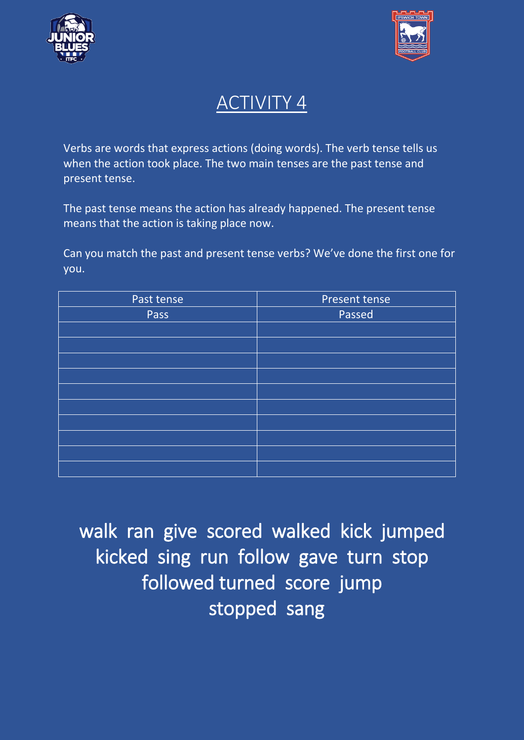



#### ACTIVITY 4

Verbs are words that express actions (doing words). The verb tense tells us when the action took place. The two main tenses are the past tense and present tense.

The past tense means the action has already happened. The present tense means that the action is taking place now.

Can you match the past and present tense verbs? We've done the first one for you.

| Past tense | Present tense |
|------------|---------------|
| Pass       | Passed        |
|            |               |
|            |               |
|            |               |
|            |               |
|            |               |
|            |               |
|            |               |
|            |               |
|            |               |
|            |               |

walk ran give scored walked kick jumped kicked sing run follow gave turn stop followed turned score jump stopped sang